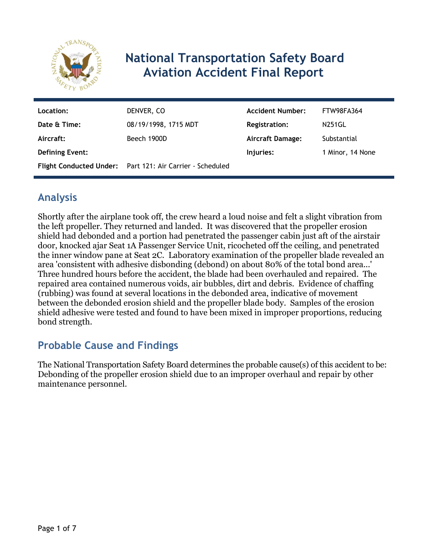

# **National Transportation Safety Board Aviation Accident Final Report**

| Location:              | DENVER, CO                                                | <b>Accident Number:</b> | FTW98FA364       |
|------------------------|-----------------------------------------------------------|-------------------------|------------------|
| Date & Time:           | 08/19/1998, 1715 MDT                                      | Registration:           | <b>N251GL</b>    |
| Aircraft:              | Beech 1900D                                               | Aircraft Damage:        | Substantial      |
| <b>Defining Event:</b> |                                                           | Injuries:               | 1 Minor, 14 None |
|                        | Flight Conducted Under: Part 121: Air Carrier - Scheduled |                         |                  |

# **Analysis**

Shortly after the airplane took off, the crew heard a loud noise and felt a slight vibration from the left propeller. They returned and landed. It was discovered that the propeller erosion shield had debonded and a portion had penetrated the passenger cabin just aft of the airstair door, knocked ajar Seat 1A Passenger Service Unit, ricocheted off the ceiling, and penetrated the inner window pane at Seat 2C. Laboratory examination of the propeller blade revealed an area 'consistent with adhesive disbonding (debond) on about 80% of the total bond area...' Three hundred hours before the accident, the blade had been overhauled and repaired. The repaired area contained numerous voids, air bubbles, dirt and debris. Evidence of chaffing (rubbing) was found at several locations in the debonded area, indicative of movement between the debonded erosion shield and the propeller blade body. Samples of the erosion shield adhesive were tested and found to have been mixed in improper proportions, reducing bond strength.

# **Probable Cause and Findings**

The National Transportation Safety Board determines the probable cause(s) of this accident to be: Debonding of the propeller erosion shield due to an improper overhaul and repair by other maintenance personnel.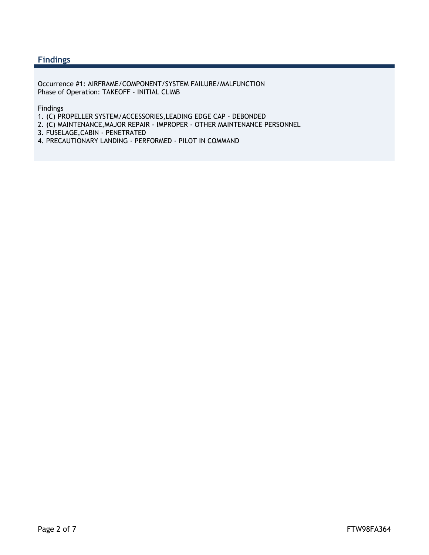#### **Findings**

Occurrence #1: AIRFRAME/COMPONENT/SYSTEM FAILURE/MALFUNCTION Phase of Operation: TAKEOFF - INITIAL CLIMB

Findings

- 1. (C) PROPELLER SYSTEM/ACCESSORIES,LEADING EDGE CAP DEBONDED
- 2. (C) MAINTENANCE,MAJOR REPAIR IMPROPER OTHER MAINTENANCE PERSONNEL
- 3. FUSELAGE,CABIN PENETRATED
- 4. PRECAUTIONARY LANDING PERFORMED PILOT IN COMMAND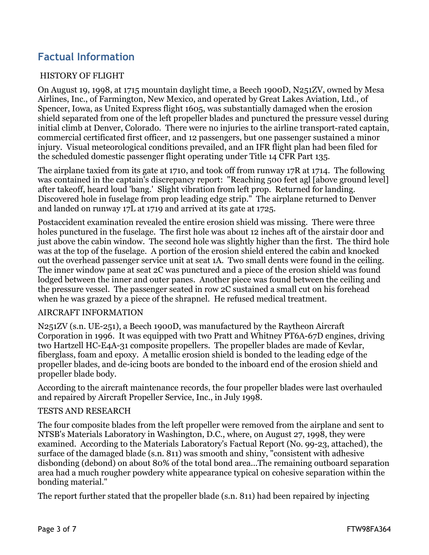# **Factual Information**

#### HISTORY OF FLIGHT

On August 19, 1998, at 1715 mountain daylight time, a Beech 1900D, N251ZV, owned by Mesa Airlines, Inc., of Farmington, New Mexico, and operated by Great Lakes Aviation, Ltd., of Spencer, Iowa, as United Express flight 1605, was substantially damaged when the erosion shield separated from one of the left propeller blades and punctured the pressure vessel during initial climb at Denver, Colorado. There were no injuries to the airline transport-rated captain, commercial certificated first officer, and 12 passengers, but one passenger sustained a minor injury. Visual meteorological conditions prevailed, and an IFR flight plan had been filed for the scheduled domestic passenger flight operating under Title 14 CFR Part 135.

The airplane taxied from its gate at 1710, and took off from runway 17R at 1714. The following was contained in the captain's discrepancy report: "Reaching 500 feet agl [above ground level] after takeoff, heard loud 'bang.' Slight vibration from left prop. Returned for landing. Discovered hole in fuselage from prop leading edge strip." The airplane returned to Denver and landed on runway 17L at 1719 and arrived at its gate at 1725.

Postaccident examination revealed the entire erosion shield was missing. There were three holes punctured in the fuselage. The first hole was about 12 inches aft of the airstair door and just above the cabin window. The second hole was slightly higher than the first. The third hole was at the top of the fuselage. A portion of the erosion shield entered the cabin and knocked out the overhead passenger service unit at seat 1A. Two small dents were found in the ceiling. The inner window pane at seat 2C was punctured and a piece of the erosion shield was found lodged between the inner and outer panes. Another piece was found between the ceiling and the pressure vessel. The passenger seated in row 2C sustained a small cut on his forehead when he was grazed by a piece of the shrapnel. He refused medical treatment.

#### AIRCRAFT INFORMATION

N251ZV (s.n. UE-251), a Beech 1900D, was manufactured by the Raytheon Aircraft Corporation in 1996. It was equipped with two Pratt and Whitney PT6A-67D engines, driving two Hartzell HC-E4A-31 composite propellers. The propeller blades are made of Kevlar, fiberglass, foam and epoxy. A metallic erosion shield is bonded to the leading edge of the propeller blades, and de-icing boots are bonded to the inboard end of the erosion shield and propeller blade body.

According to the aircraft maintenance records, the four propeller blades were last overhauled and repaired by Aircraft Propeller Service, Inc., in July 1998.

#### TESTS AND RESEARCH

The four composite blades from the left propeller were removed from the airplane and sent to NTSB's Materials Laboratory in Washington, D.C., where, on August 27, 1998, they were examined. According to the Materials Laboratory's Factual Report (No. 99-23, attached), the surface of the damaged blade (s.n. 811) was smooth and shiny, "consistent with adhesive disbonding (debond) on about 80% of the total bond area...The remaining outboard separation area had a much rougher powdery white appearance typical on cohesive separation within the bonding material."

The report further stated that the propeller blade (s.n. 811) had been repaired by injecting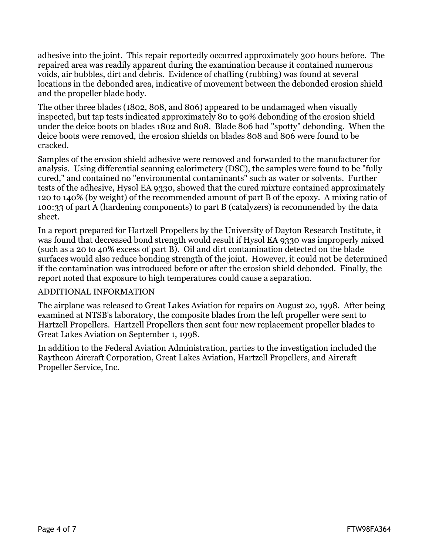adhesive into the joint. This repair reportedly occurred approximately 300 hours before. The repaired area was readily apparent during the examination because it contained numerous voids, air bubbles, dirt and debris. Evidence of chaffing (rubbing) was found at several locations in the debonded area, indicative of movement between the debonded erosion shield and the propeller blade body.

The other three blades (1802, 808, and 806) appeared to be undamaged when visually inspected, but tap tests indicated approximately 80 to 90% debonding of the erosion shield under the deice boots on blades 1802 and 808. Blade 806 had "spotty" debonding. When the deice boots were removed, the erosion shields on blades 808 and 806 were found to be cracked.

Samples of the erosion shield adhesive were removed and forwarded to the manufacturer for analysis. Using differential scanning calorimetery (DSC), the samples were found to be "fully cured," and contained no "environmental contaminants" such as water or solvents. Further tests of the adhesive, Hysol EA 9330, showed that the cured mixture contained approximately 120 to 140% (by weight) of the recommended amount of part B of the epoxy. A mixing ratio of 100:33 of part A (hardening components) to part B (catalyzers) is recommended by the data sheet.

In a report prepared for Hartzell Propellers by the University of Dayton Research Institute, it was found that decreased bond strength would result if Hysol EA 9330 was improperly mixed (such as a 20 to 40% excess of part B). Oil and dirt contamination detected on the blade surfaces would also reduce bonding strength of the joint. However, it could not be determined if the contamination was introduced before or after the erosion shield debonded. Finally, the report noted that exposure to high temperatures could cause a separation.

#### ADDITIONAL INFORMATION

The airplane was released to Great Lakes Aviation for repairs on August 20, 1998. After being examined at NTSB's laboratory, the composite blades from the left propeller were sent to Hartzell Propellers. Hartzell Propellers then sent four new replacement propeller blades to Great Lakes Aviation on September 1, 1998.

In addition to the Federal Aviation Administration, parties to the investigation included the Raytheon Aircraft Corporation, Great Lakes Aviation, Hartzell Propellers, and Aircraft Propeller Service, Inc.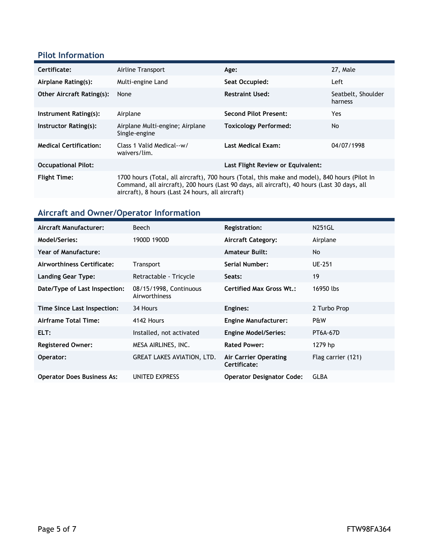### **Pilot Information**

| Certificate:                     | Airline Transport                                                                                                                                                                                                                                | Age:                              | 27, Male                      |
|----------------------------------|--------------------------------------------------------------------------------------------------------------------------------------------------------------------------------------------------------------------------------------------------|-----------------------------------|-------------------------------|
| Airplane Rating(s):              | Multi-engine Land                                                                                                                                                                                                                                | Seat Occupied:                    | Left                          |
| <b>Other Aircraft Rating(s):</b> | None                                                                                                                                                                                                                                             | <b>Restraint Used:</b>            | Seatbelt, Shoulder<br>harness |
| Instrument Rating(s):            | Airplane                                                                                                                                                                                                                                         | <b>Second Pilot Present:</b>      | Yes                           |
| Instructor Rating(s):            | Airplane Multi-engine; Airplane<br>Single-engine                                                                                                                                                                                                 | <b>Toxicology Performed:</b>      | No.                           |
| <b>Medical Certification:</b>    | Class 1 Valid Medical--w/<br>waivers/lim.                                                                                                                                                                                                        | <b>Last Medical Exam:</b>         | 04/07/1998                    |
| <b>Occupational Pilot:</b>       |                                                                                                                                                                                                                                                  | Last Flight Review or Equivalent: |                               |
| <b>Flight Time:</b>              | 1700 hours (Total, all aircraft), 700 hours (Total, this make and model), 840 hours (Pilot In<br>Command, all aircraft), 200 hours (Last 90 days, all aircraft), 40 hours (Last 30 days, all<br>aircraft), 8 hours (Last 24 hours, all aircraft) |                                   |                               |

# **Aircraft and Owner/Operator Information**

| Aircraft Manufacturer:            | Beech                                   | <b>Registration:</b>                  | <b>N251GL</b>      |
|-----------------------------------|-----------------------------------------|---------------------------------------|--------------------|
| Model/Series:                     | 1900D 1900D                             | <b>Aircraft Category:</b>             | Airplane           |
| <b>Year of Manufacture:</b>       |                                         | <b>Amateur Built:</b>                 | No                 |
| Airworthiness Certificate:        | <b>Transport</b>                        | Serial Number:                        | <b>UE-251</b>      |
| <b>Landing Gear Type:</b>         | Retractable - Tricycle                  | Seats:                                | 19                 |
| Date/Type of Last Inspection:     | 08/15/1998, Continuous<br>Airworthiness | Certified Max Gross Wt.:              | 16950 lbs          |
| Time Since Last Inspection:       | 34 Hours                                | Engines:                              | 2 Turbo Prop       |
| Airframe Total Time:              | 4142 Hours                              | <b>Engine Manufacturer:</b>           | P&W                |
| ELT:                              | Installed, not activated                | <b>Engine Model/Series:</b>           | <b>PT6A-67D</b>    |
| <b>Registered Owner:</b>          | MESA AIRLINES, INC.                     | <b>Rated Power:</b>                   | 1279 hp            |
| Operator:                         | <b>GREAT LAKES AVIATION, LTD.</b>       | Air Carrier Operating<br>Certificate: | Flag carrier (121) |
| <b>Operator Does Business As:</b> | UNITED EXPRESS                          | <b>Operator Designator Code:</b>      | <b>GLBA</b>        |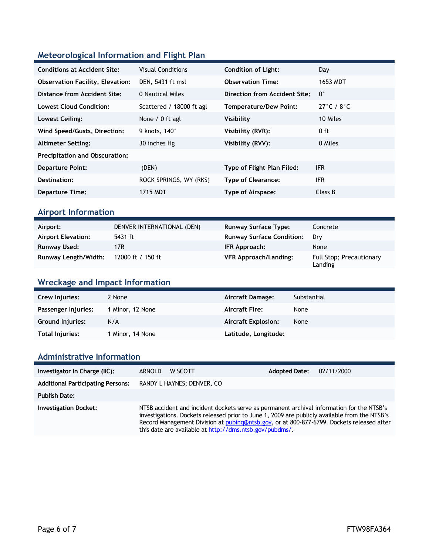## **Meteorological Information and Flight Plan**

| <b>Conditions at Accident Site:</b>     | <b>Visual Conditions</b>  | <b>Condition of Light:</b>    | Day                  |
|-----------------------------------------|---------------------------|-------------------------------|----------------------|
| <b>Observation Facility, Elevation:</b> | DEN, 5431 ft msl          | <b>Observation Time:</b>      | 1653 MDT             |
| Distance from Accident Site:            | 0 Nautical Miles          | Direction from Accident Site: | $\mathbf{0}^{\circ}$ |
| Lowest Cloud Condition:                 | Scattered / 18000 ft agl  | <b>Temperature/Dew Point:</b> | 27°C / $8^{\circ}$ C |
| Lowest Ceiling:                         | None / 0 ft agl           | Visibility                    | 10 Miles             |
| Wind Speed/Gusts, Direction:            | 9 knots, 140 <sup>°</sup> | Visibility (RVR):             | 0 ft                 |
| <b>Altimeter Setting:</b>               | 30 inches Hg              | Visibility (RVV):             | 0 Miles              |
| <b>Precipitation and Obscuration:</b>   |                           |                               |                      |
| <b>Departure Point:</b>                 | (DEN)                     | Type of Flight Plan Filed:    | <b>IFR</b>           |
| Destination:                            | ROCK SPRINGS, WY (RKS)    | <b>Type of Clearance:</b>     | <b>IFR</b>           |
| <b>Departure Time:</b>                  | 1715 MDT                  | <b>Type of Airspace:</b>      | Class B              |

### **Airport Information**

| Airport:                    | DENVER INTERNATIONAL (DEN) | <b>Runway Surface Type:</b>      | Concrete                            |
|-----------------------------|----------------------------|----------------------------------|-------------------------------------|
| <b>Airport Elevation:</b>   | 5431 ft                    | <b>Runway Surface Condition:</b> | Drv                                 |
| Runway Used:                | 17R.                       | IFR Approach:                    | None                                |
| <b>Runway Length/Width:</b> | 12000 ft / 150 ft          | <b>VFR Approach/Landing:</b>     | Full Stop; Precautionary<br>Landing |

### **Wreckage and Impact Information**

| Crew Injuries:          | 2 None           | Aircraft Damage:           | Substantial |
|-------------------------|------------------|----------------------------|-------------|
| Passenger Injuries:     | 1 Minor, 12 None | <b>Aircraft Fire:</b>      | None        |
| <b>Ground Injuries:</b> | N/A              | <b>Aircraft Explosion:</b> | None        |
| Total Injuries:         | 1 Minor, 14 None | Latitude, Longitude:       |             |

### **Administrative Information**

| Investigator In Charge (IIC):            | <b>ARNOLD</b><br>W SCOTT                                                                                                                                                                                                                                                                                                                           | <b>Adopted Date:</b> | 02/11/2000 |
|------------------------------------------|----------------------------------------------------------------------------------------------------------------------------------------------------------------------------------------------------------------------------------------------------------------------------------------------------------------------------------------------------|----------------------|------------|
| <b>Additional Participating Persons:</b> | RANDY L HAYNES; DENVER, CO                                                                                                                                                                                                                                                                                                                         |                      |            |
| <b>Publish Date:</b>                     |                                                                                                                                                                                                                                                                                                                                                    |                      |            |
| <b>Investigation Docket:</b>             | NTSB accident and incident dockets serve as permanent archival information for the NTSB's<br>investigations. Dockets released prior to June 1, 2009 are publicly available from the NTSB's<br>Record Management Division at pubing@ntsb.gov, or at 800-877-6799. Dockets released after<br>this date are available at http://dms.ntsb.gov/pubdms/. |                      |            |